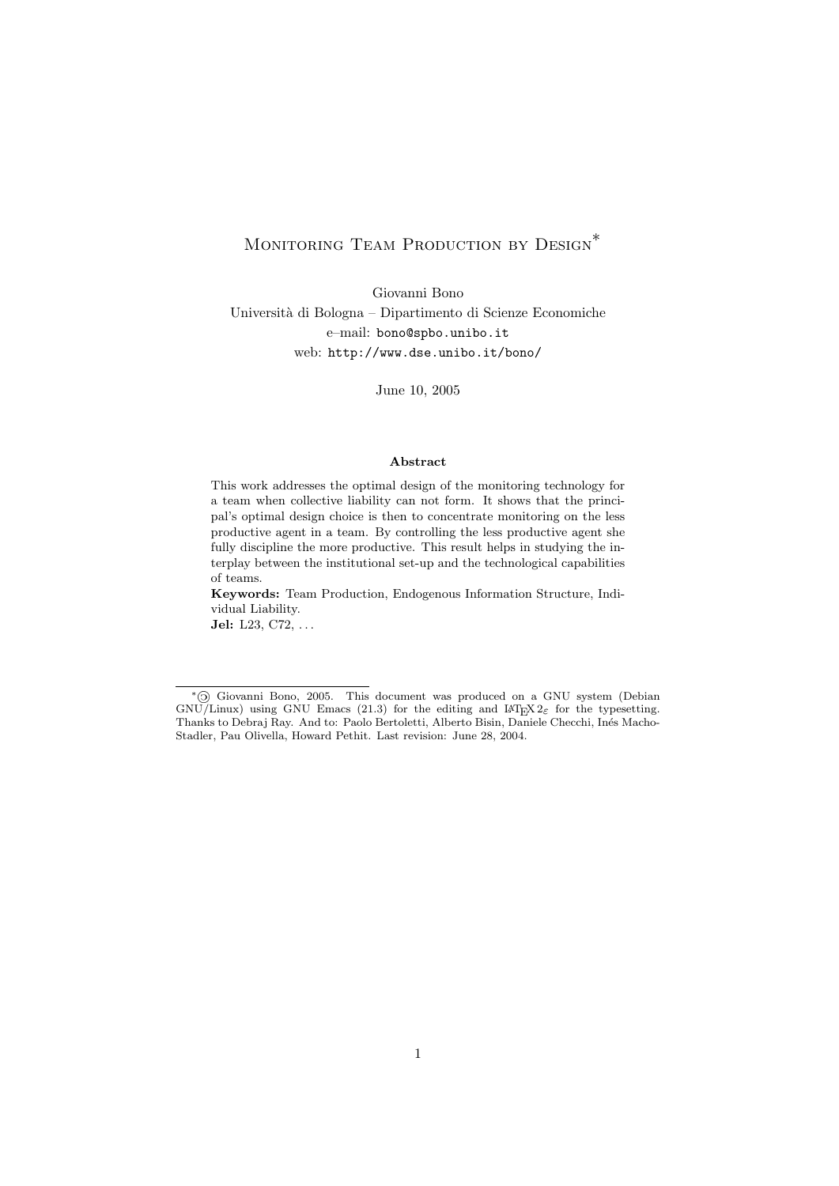# MONITORING TEAM PRODUCTION BY DESIGN<sup>\*</sup>

Giovanni Bono Università di Bologna – Dipartimento di Scienze Economiche e–mail: bono@spbo.unibo.it web: http://www.dse.unibo.it/bono/

June 10, 2005

#### Abstract

This work addresses the optimal design of the monitoring technology for a team when collective liability can not form. It shows that the principal's optimal design choice is then to concentrate monitoring on the less productive agent in a team. By controlling the less productive agent she fully discipline the more productive. This result helps in studying the interplay between the institutional set-up and the technological capabilities of teams.

Keywords: Team Production, Endogenous Information Structure, Individual Liability.

Jel: L23, C72, ...

<sup>∗</sup>« Giovanni Bono, 2005. This document was produced on a GNU system (Debian GNU/Linux) using GNU Emacs (21.3) for the editing and LAT<sub>E</sub>X  $2\varepsilon$  for the typesetting. Thanks to Debraj Ray. And to: Paolo Bertoletti, Alberto Bisin, Daniele Checchi, Inés Macho-Stadler, Pau Olivella, Howard Pethit. Last revision: June 28, 2004.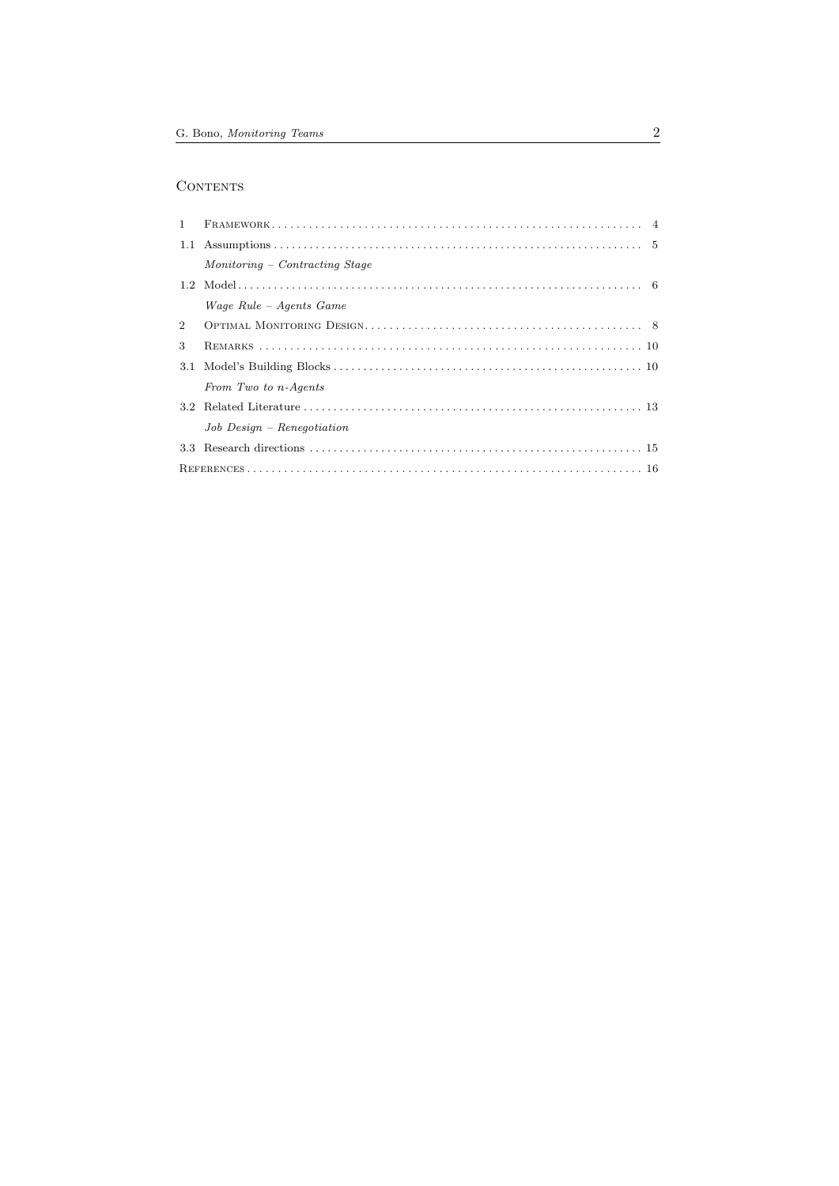# $\mbox{CONTENTS}$

| $\mathbf{1}$   |                                |  |
|----------------|--------------------------------|--|
|                |                                |  |
|                | Monitoring – Contracting Stage |  |
|                |                                |  |
|                | Wage Rule – Agents Game        |  |
| $\overline{2}$ |                                |  |
| 3              |                                |  |
| 3.1            |                                |  |
|                | From Two to n-Agents           |  |
|                |                                |  |
|                | $Job$ $Design$ - Renegotiation |  |
| 3.3            |                                |  |
|                |                                |  |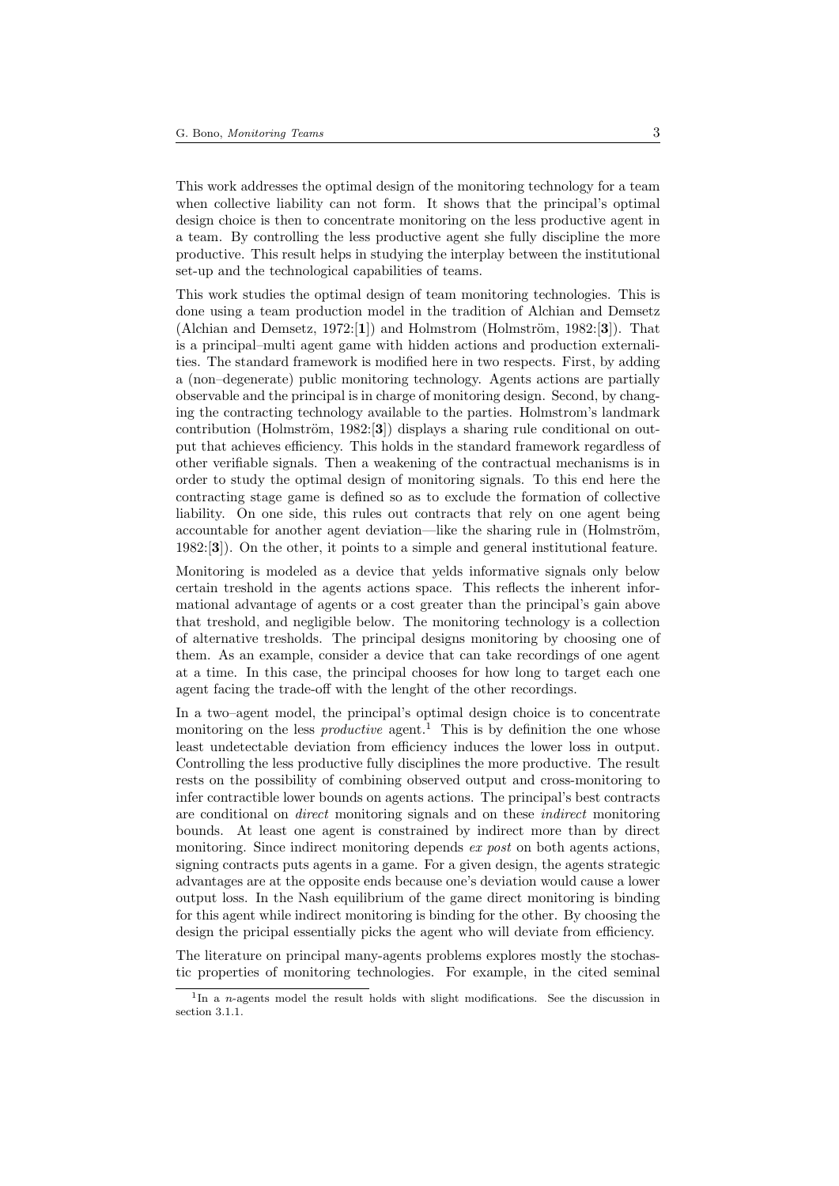This work addresses the optimal design of the monitoring technology for a team when collective liability can not form. It shows that the principal's optimal design choice is then to concentrate monitoring on the less productive agent in a team. By controlling the less productive agent she fully discipline the more productive. This result helps in studying the interplay between the institutional set-up and the technological capabilities of teams.

This work studies the optimal design of team monitoring technologies. This is done using a team production model in the tradition of Alchian and Demsetz (Alchian and Demsetz, 1972:[1]) and Holmstrom (Holmström, 1982:[3]). That is a principal–multi agent game with hidden actions and production externalities. The standard framework is modified here in two respects. First, by adding a (non–degenerate) public monitoring technology. Agents actions are partially observable and the principal is in charge of monitoring design. Second, by changing the contracting technology available to the parties. Holmstrom's landmark contribution (Holmström, 1982:[3]) displays a sharing rule conditional on output that achieves efficiency. This holds in the standard framework regardless of other verifiable signals. Then a weakening of the contractual mechanisms is in order to study the optimal design of monitoring signals. To this end here the contracting stage game is defined so as to exclude the formation of collective liability. On one side, this rules out contracts that rely on one agent being accountable for another agent deviation—like the sharing rule in (Holmström, 1982:[3]). On the other, it points to a simple and general institutional feature.

Monitoring is modeled as a device that yelds informative signals only below certain treshold in the agents actions space. This reflects the inherent informational advantage of agents or a cost greater than the principal's gain above that treshold, and negligible below. The monitoring technology is a collection of alternative tresholds. The principal designs monitoring by choosing one of them. As an example, consider a device that can take recordings of one agent at a time. In this case, the principal chooses for how long to target each one agent facing the trade-off with the lenght of the other recordings.

In a two–agent model, the principal's optimal design choice is to concentrate monitoring on the less *productive* agent.<sup>1</sup> This is by definition the one whose least undetectable deviation from efficiency induces the lower loss in output. Controlling the less productive fully disciplines the more productive. The result rests on the possibility of combining observed output and cross-monitoring to infer contractible lower bounds on agents actions. The principal's best contracts are conditional on direct monitoring signals and on these indirect monitoring bounds. At least one agent is constrained by indirect more than by direct monitoring. Since indirect monitoring depends ex post on both agents actions, signing contracts puts agents in a game. For a given design, the agents strategic advantages are at the opposite ends because one's deviation would cause a lower output loss. In the Nash equilibrium of the game direct monitoring is binding for this agent while indirect monitoring is binding for the other. By choosing the design the pricipal essentially picks the agent who will deviate from efficiency.

The literature on principal many-agents problems explores mostly the stochastic properties of monitoring technologies. For example, in the cited seminal

<sup>&</sup>lt;sup>1</sup>In a *n*-agents model the result holds with slight modifications. See the discussion in section 3.1.1.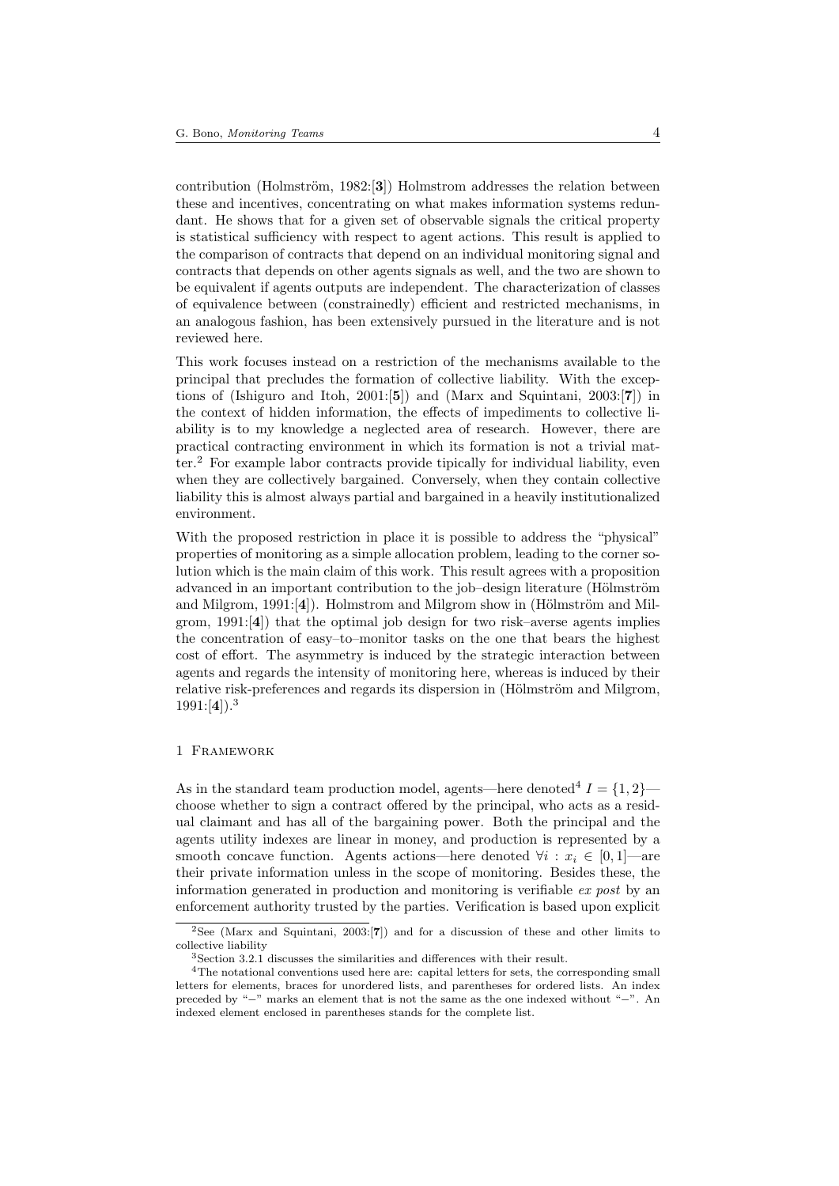contribution (Holmström, 1982:[3]) Holmstrom addresses the relation between these and incentives, concentrating on what makes information systems redundant. He shows that for a given set of observable signals the critical property is statistical sufficiency with respect to agent actions. This result is applied to the comparison of contracts that depend on an individual monitoring signal and contracts that depends on other agents signals as well, and the two are shown to be equivalent if agents outputs are independent. The characterization of classes of equivalence between (constrainedly) efficient and restricted mechanisms, in an analogous fashion, has been extensively pursued in the literature and is not reviewed here.

This work focuses instead on a restriction of the mechanisms available to the principal that precludes the formation of collective liability. With the exceptions of (Ishiguro and Itoh, 2001:[5]) and (Marx and Squintani, 2003:[7]) in the context of hidden information, the effects of impediments to collective liability is to my knowledge a neglected area of research. However, there are practical contracting environment in which its formation is not a trivial matter.<sup>2</sup> For example labor contracts provide tipically for individual liability, even when they are collectively bargained. Conversely, when they contain collective liability this is almost always partial and bargained in a heavily institutionalized environment.

With the proposed restriction in place it is possible to address the "physical" properties of monitoring as a simple allocation problem, leading to the corner solution which is the main claim of this work. This result agrees with a proposition advanced in an important contribution to the job–design literature (Hölmström and Milgrom, 1991: $[4]$ . Holmstrom and Milgrom show in (Hölmström and Milgrom, 1991:[4]) that the optimal job design for two risk–averse agents implies the concentration of easy–to–monitor tasks on the one that bears the highest cost of effort. The asymmetry is induced by the strategic interaction between agents and regards the intensity of monitoring here, whereas is induced by their relative risk-preferences and regards its dispersion in (Hölmström and Milgrom,  $1991:[4]$ ).<sup>3</sup>

## 1 Framework

As in the standard team production model, agents—here denoted<sup>4</sup>  $I = \{1, 2\}$  choose whether to sign a contract offered by the principal, who acts as a residual claimant and has all of the bargaining power. Both the principal and the agents utility indexes are linear in money, and production is represented by a smooth concave function. Agents actions—here denoted  $\forall i : x_i \in [0, 1]$ —are their private information unless in the scope of monitoring. Besides these, the information generated in production and monitoring is verifiable ex post by an enforcement authority trusted by the parties. Verification is based upon explicit

<sup>2</sup>See (Marx and Squintani, 2003:[7]) and for a discussion of these and other limits to collective liability

<sup>3</sup>Section 3.2.1 discusses the similarities and differences with their result.

<sup>4</sup>The notational conventions used here are: capital letters for sets, the corresponding small letters for elements, braces for unordered lists, and parentheses for ordered lists. An index preceded by "−" marks an element that is not the same as the one indexed without "−". An indexed element enclosed in parentheses stands for the complete list.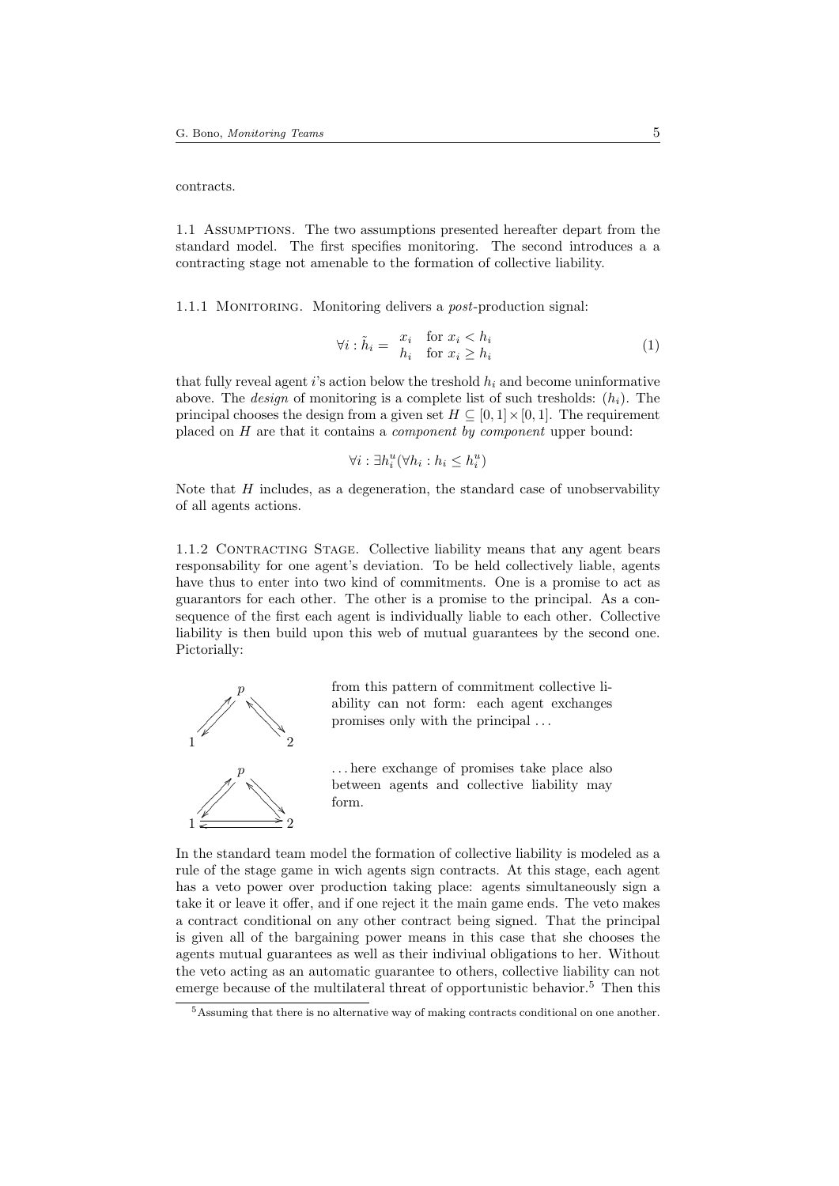contracts.

1.1 Assumptions. The two assumptions presented hereafter depart from the standard model. The first specifies monitoring. The second introduces a a contracting stage not amenable to the formation of collective liability.

1.1.1 MONITORING. Monitoring delivers a *post*-production signal:

$$
\forall i : \tilde{h}_i = \begin{array}{cc} x_i & \text{for } x_i < h_i \\ h_i & \text{for } x_i \ge h_i \end{array} \tag{1}
$$

that fully reveal agent i's action below the treshold  $h_i$  and become uninformative above. The *design* of monitoring is a complete list of such tresholds:  $(h_i)$ . The principal chooses the design from a given set  $H \subseteq [0, 1] \times [0, 1]$ . The requirement placed on H are that it contains a component by component upper bound:

$$
\forall i: \exists h_i^u(\forall h_i: h_i \leq h_i^u)
$$

Note that  $H$  includes, as a degeneration, the standard case of unobservability of all agents actions.

1.1.2 Contracting Stage. Collective liability means that any agent bears responsability for one agent's deviation. To be held collectively liable, agents have thus to enter into two kind of commitments. One is a promise to act as guarantors for each other. The other is a promise to the principal. As a consequence of the first each agent is individually liable to each other. Collective liability is then build upon this web of mutual guarantees by the second one. Pictorially:



 $\leftarrow$  2

 $\ddot{\phantom{0}}$ > >  $\overline{\phantom{0}}$  $\overline{\phantom{0}}$  $\overline{\phantom{0}}$  $\overline{\phantom{0}}$ 

 $\cdot$ 

Ľ  $\angle$  $\overline{\phantom{a}}$  $\overline{\phantom{a}}$  $\overline{\phantom{a}}$  $\overline{\phantom{a}}$  $\overline{\phantom{a}}$ 

1

from this pattern of commitment collective liability can not form: each agent exchanges promises only with the principal . . .

. . . here exchange of promises take place also between agents and collective liability may form.

In the standard team model the formation of collective liability is modeled as a rule of the stage game in wich agents sign contracts. At this stage, each agent has a veto power over production taking place: agents simultaneously sign a take it or leave it offer, and if one reject it the main game ends. The veto makes a contract conditional on any other contract being signed. That the principal is given all of the bargaining power means in this case that she chooses the agents mutual guarantees as well as their indiviual obligations to her. Without the veto acting as an automatic guarantee to others, collective liability can not emerge because of the multilateral threat of opportunistic behavior.<sup>5</sup> Then this

<sup>5</sup>Assuming that there is no alternative way of making contracts conditional on one another.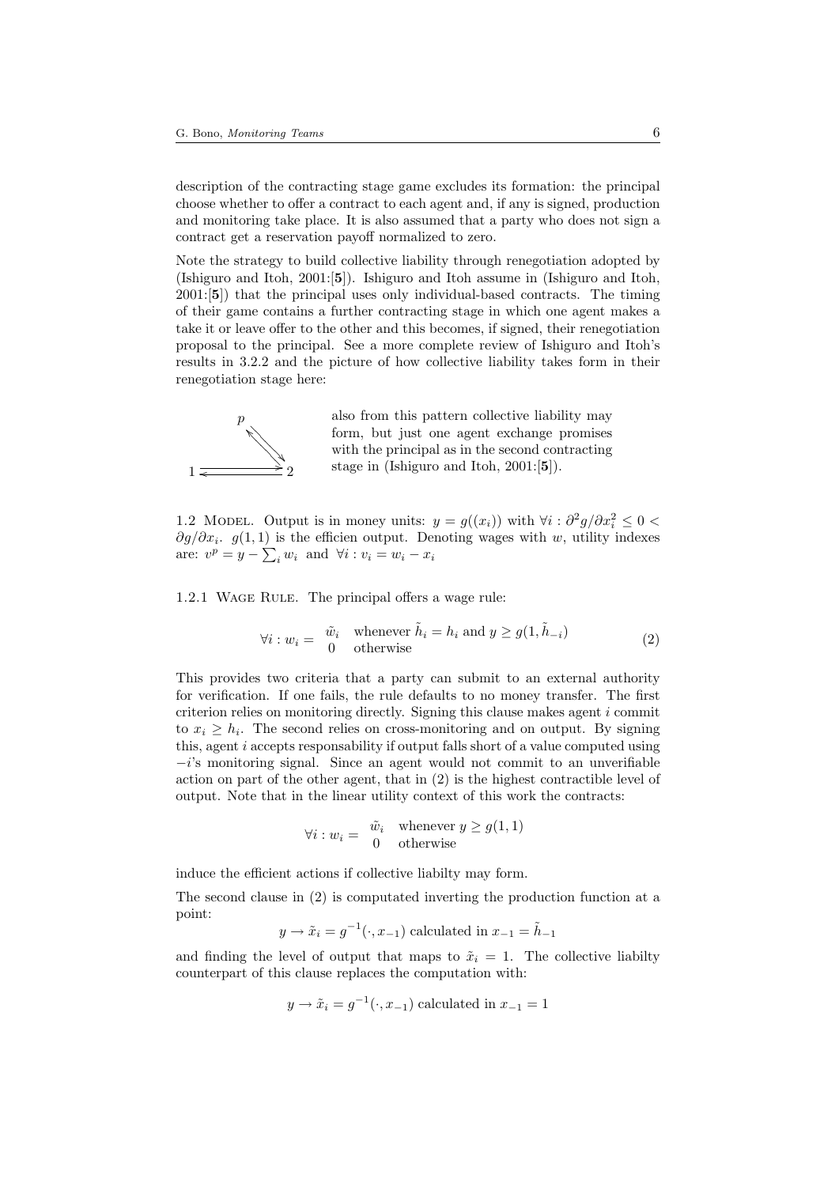description of the contracting stage game excludes its formation: the principal choose whether to offer a contract to each agent and, if any is signed, production and monitoring take place. It is also assumed that a party who does not sign a contract get a reservation payoff normalized to zero.

Note the strategy to build collective liability through renegotiation adopted by (Ishiguro and Itoh, 2001:[5]). Ishiguro and Itoh assume in (Ishiguro and Itoh, 2001:[5]) that the principal uses only individual-based contracts. The timing of their game contains a further contracting stage in which one agent makes a take it or leave offer to the other and this becomes, if signed, their renegotiation proposal to the principal. See a more complete review of Ishiguro and Itoh's results in 3.2.2 and the picture of how collective liability takes form in their renegotiation stage here:



also from this pattern collective liability may form, but just one agent exchange promises with the principal as in the second contracting stage in (Ishiguro and Itoh, 2001:[5]).

1.2 MODEL. Output is in money units:  $y = g((x_i))$  with  $\forall i : \partial^2 g / \partial x_i^2 \leq 0$  $\partial g/\partial x_i$ .  $g(1,1)$  is the efficien output. Denoting wages with w, utility indexes are:  $v^p = y - \sum_i w_i$  and  $\forall i : v_i = w_i - x_i$ 

1.2.1 WAGE RULE. The principal offers a wage rule:

$$
\forall i: w_i = \begin{array}{cc} \tilde{w}_i & \text{whenever } \tilde{h}_i = h_i \text{ and } y \ge g(1, \tilde{h}_{-i}) \\ 0 & \text{otherwise} \end{array} \tag{2}
$$

This provides two criteria that a party can submit to an external authority for verification. If one fails, the rule defaults to no money transfer. The first criterion relies on monitoring directly. Signing this clause makes agent i commit to  $x_i \geq h_i$ . The second relies on cross-monitoring and on output. By signing this, agent i accepts responsability if output falls short of a value computed using  $-i$ 's monitoring signal. Since an agent would not commit to an unverifiable action on part of the other agent, that in (2) is the highest contractible level of output. Note that in the linear utility context of this work the contracts:

$$
\forall i: w_i = \begin{array}{cc} \tilde{w}_i & \text{whenever } y \ge g(1,1) \\ 0 & \text{otherwise} \end{array}
$$

induce the efficient actions if collective liabilty may form.

The second clause in (2) is computated inverting the production function at a point:

$$
y \rightarrow \tilde{x}_i = g^{-1}(\cdot, x_{-1})
$$
 calculated in  $x_{-1} = \tilde{h}_{-1}$ 

and finding the level of output that maps to  $\tilde{x}_i = 1$ . The collective liabilty counterpart of this clause replaces the computation with:

$$
y \rightarrow \tilde{x}_i = g^{-1}(\cdot, x_{-1})
$$
 calculated in  $x_{-1} = 1$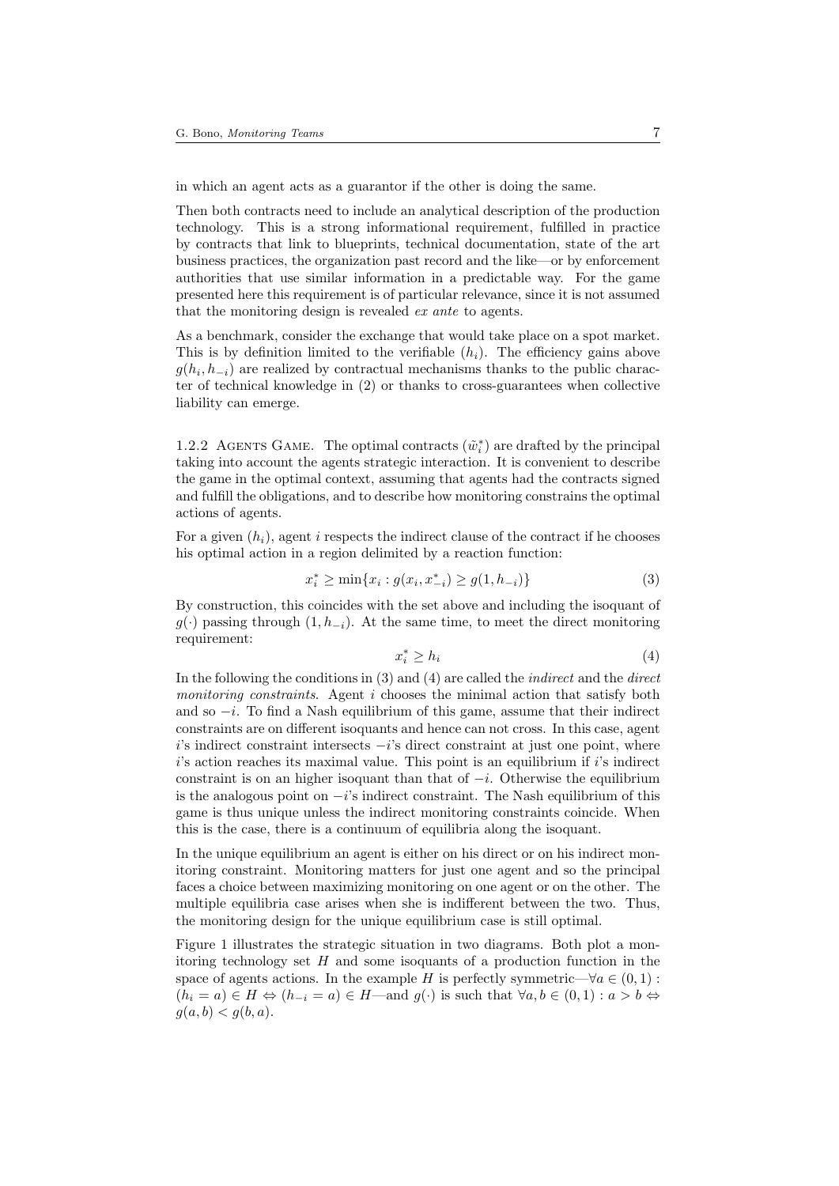in which an agent acts as a guarantor if the other is doing the same.

Then both contracts need to include an analytical description of the production technology. This is a strong informational requirement, fulfilled in practice by contracts that link to blueprints, technical documentation, state of the art business practices, the organization past record and the like—or by enforcement authorities that use similar information in a predictable way. For the game presented here this requirement is of particular relevance, since it is not assumed that the monitoring design is revealed ex ante to agents.

As a benchmark, consider the exchange that would take place on a spot market. This is by definition limited to the verifiable  $(h_i)$ . The efficiency gains above  $g(h_i, h_{-i})$  are realized by contractual mechanisms thanks to the public character of technical knowledge in (2) or thanks to cross-guarantees when collective liability can emerge.

1.2.2 AGENTS GAME. The optimal contracts  $(\tilde{w}_i^*)$  are drafted by the principal taking into account the agents strategic interaction. It is convenient to describe the game in the optimal context, assuming that agents had the contracts signed and fulfill the obligations, and to describe how monitoring constrains the optimal actions of agents.

For a given  $(h_i)$ , agent i respects the indirect clause of the contract if he chooses his optimal action in a region delimited by a reaction function:

$$
x_i^* \ge \min\{x_i : g(x_i, x_{-i}^*) \ge g(1, h_{-i})\}\tag{3}
$$

By construction, this coincides with the set above and including the isoquant of  $g(\cdot)$  passing through  $(1, h_{-i})$ . At the same time, to meet the direct monitoring requirement:

$$
x_i^* \ge h_i \tag{4}
$$

In the following the conditions in  $(3)$  and  $(4)$  are called the *indirect* and the *direct* monitoring constraints. Agent i chooses the minimal action that satisfy both and so  $-i$ . To find a Nash equilibrium of this game, assume that their indirect constraints are on different isoquants and hence can not cross. In this case, agent  $i$ 's indirect constraint intersects  $-i$ 's direct constraint at just one point, where  $i$ 's action reaches its maximal value. This point is an equilibrium if  $i$ 's indirect constraint is on an higher isoquant than that of  $-i$ . Otherwise the equilibrium is the analogous point on  $-i$ 's indirect constraint. The Nash equilibrium of this game is thus unique unless the indirect monitoring constraints coincide. When this is the case, there is a continuum of equilibria along the isoquant.

In the unique equilibrium an agent is either on his direct or on his indirect monitoring constraint. Monitoring matters for just one agent and so the principal faces a choice between maximizing monitoring on one agent or on the other. The multiple equilibria case arises when she is indifferent between the two. Thus, the monitoring design for the unique equilibrium case is still optimal.

Figure 1 illustrates the strategic situation in two diagrams. Both plot a monitoring technology set  $H$  and some isoquants of a production function in the space of agents actions. In the example H is perfectly symmetric— $\forall a \in (0,1)$ :  $(h_i = a) \in H \Leftrightarrow (h_{-i} = a) \in H$ —and  $q(\cdot)$  is such that  $\forall a, b \in (0, 1) : a > b \Leftrightarrow$  $q(a, b) < q(b, a)$ .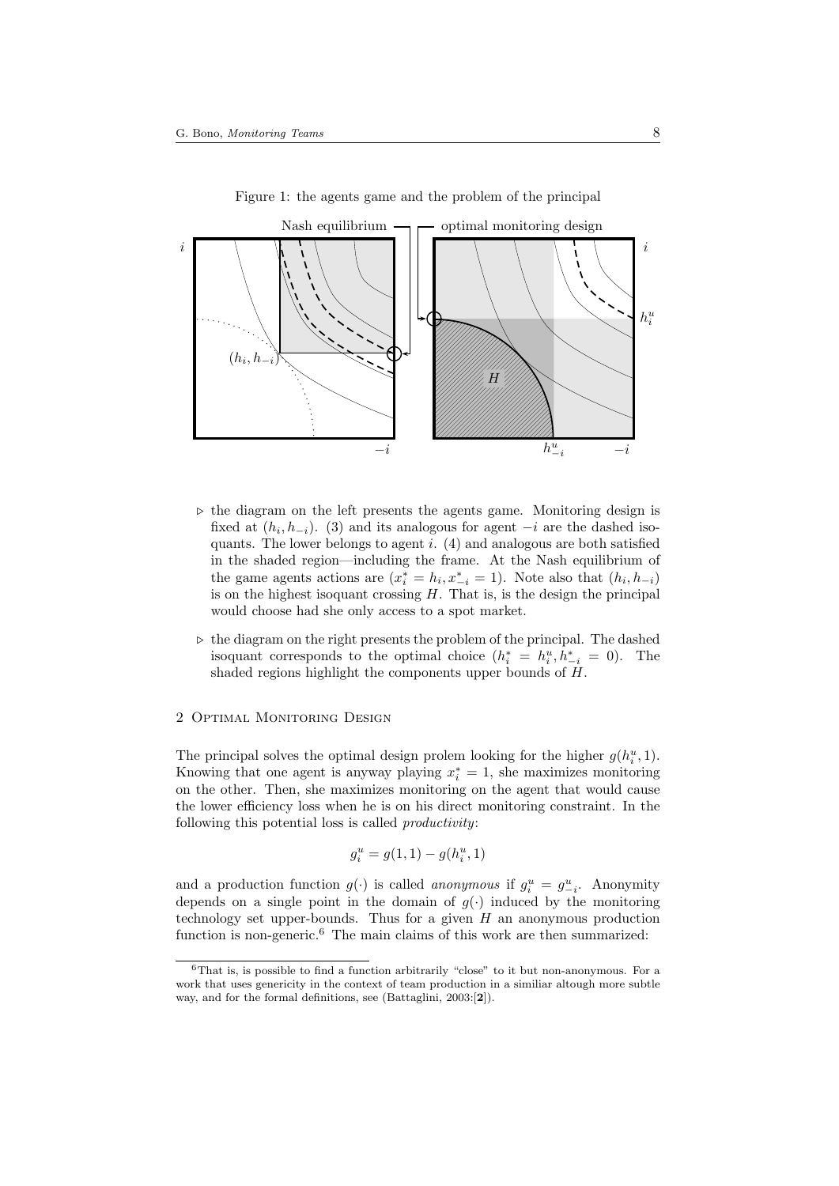

Figure 1: the agents game and the problem of the principal

- $\triangleright$  the diagram on the left presents the agents game. Monitoring design is fixed at  $(h_i, h_{-i})$ . (3) and its analogous for agent  $-i$  are the dashed isoquants. The lower belongs to agent  $i$ . (4) and analogous are both satisfied in the shaded region—including the frame. At the Nash equilibrium of the game agents actions are  $(x_i^* = h_i, x_{-i}^* = 1)$ . Note also that  $(h_i, h_{-i})$ is on the highest isoquant crossing  $H$ . That is, is the design the principal would choose had she only access to a spot market.
- $\triangleright$  the diagram on the right presents the problem of the principal. The dashed isoquant corresponds to the optimal choice  $(h_i^* = h_i^u, h_{-i}^* = 0)$ . The shaded regions highlight the components upper bounds of H.

#### 2 Optimal Monitoring Design

The principal solves the optimal design prolem looking for the higher  $g(h_i^u, 1)$ . Knowing that one agent is anyway playing  $x_i^* = 1$ , she maximizes monitoring on the other. Then, she maximizes monitoring on the agent that would cause the lower efficiency loss when he is on his direct monitoring constraint. In the following this potential loss is called productivity:

$$
g_i^u = g(1, 1) - g(h_i^u, 1)
$$

and a production function  $g(\cdot)$  is called *anonymous* if  $g_i^u = g_{-i}^u$ . Anonymity depends on a single point in the domain of  $g(\cdot)$  induced by the monitoring technology set upper-bounds. Thus for a given  $H$  an anonymous production function is non-generic.<sup>6</sup> The main claims of this work are then summarized:

<sup>6</sup>That is, is possible to find a function arbitrarily "close" to it but non-anonymous. For a work that uses genericity in the context of team production in a similiar altough more subtle way, and for the formal definitions, see (Battaglini, 2003:[2]).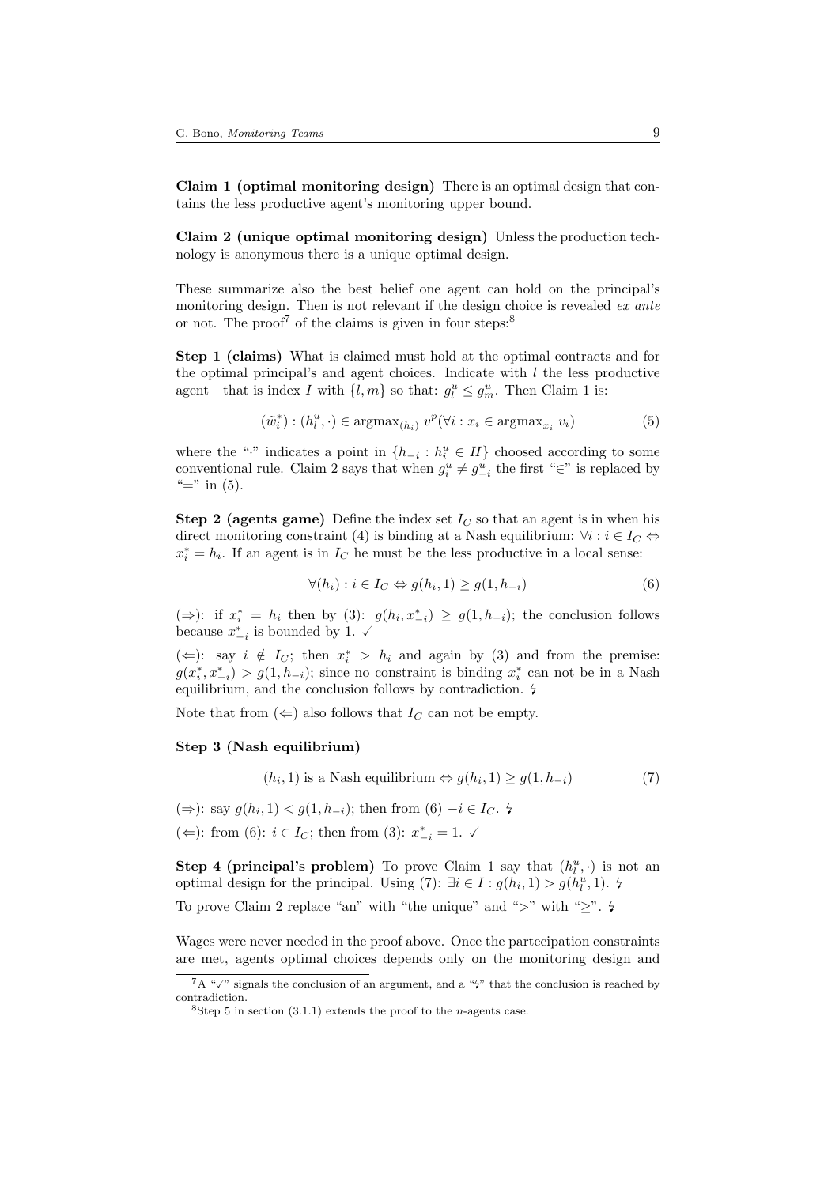Claim 1 (optimal monitoring design) There is an optimal design that contains the less productive agent's monitoring upper bound.

Claim 2 (unique optimal monitoring design) Unless the production technology is anonymous there is a unique optimal design.

These summarize also the best belief one agent can hold on the principal's monitoring design. Then is not relevant if the design choice is revealed ex ante or not. The proof<sup>7</sup> of the claims is given in four steps:<sup>8</sup>

Step 1 (claims) What is claimed must hold at the optimal contracts and for the optimal principal's and agent choices. Indicate with  $l$  the less productive agent—that is index I with  $\{l, m\}$  so that:  $g_l^u \leq g_m^u$ . Then Claim 1 is:

$$
(\tilde{w}_i^*) : (h_l^u, \cdot) \in \operatorname{argmax}_{(h_i)} v^p(\forall i : x_i \in \operatorname{argmax}_{x_i} v_i)
$$
\n
$$
(5)
$$

where the "<sup>\*</sup>" indicates a point in  $\{h_{-i}: h_i^u \in H\}$  choosed according to some conventional rule. Claim 2 says that when  $g_i^u \neq g_{-i}^u$  the first "∈" is replaced by " $\equiv$ " in (5).

**Step 2 (agents game)** Define the index set  $I_C$  so that an agent is in when his direct monitoring constraint (4) is binding at a Nash equilibrium:  $\forall i : i \in I_C \Leftrightarrow$  $x_i^* = h_i$ . If an agent is in  $I_C$  he must be the less productive in a local sense:

$$
\forall (h_i) : i \in I_C \Leftrightarrow g(h_i, 1) \ge g(1, h_{-i})
$$
\n
$$
(6)
$$

(⇒): if  $x_i^* = h_i$  then by (3):  $g(h_i, x_{-i}^*) \ge g(1, h_{-i})$ ; the conclusion follows because  $x_{-i}^*$  is bounded by 1.  $\checkmark$ 

(  $\Leftarrow$  ): say *i*  $\notin I_C$ ; then  $x_i^*$  >  $h_i$  and again by (3) and from the premise:  $g(x_i^*, x_{-i}^*) > g(1, h_{-i})$ ; since no constraint is binding  $x_i^*$  can not be in a Nash equilibrium, and the conclusion follows by contradiction.

Note that from  $(\Leftarrow)$  also follows that  $I_C$  can not be empty.

# Step 3 (Nash equilibrium)

$$
(h_i, 1) \text{ is a Nash equilibrium} \Leftrightarrow g(h_i, 1) \ge g(1, h_{-i}) \tag{7}
$$

(⇒): say  $g(h_i, 1) < g(1, h_{-i})$ ; then from (6)  $-i \in I_C$ . 4 (←): from (6):  $i \in I_C$ ; then from (3):  $x_{-i}^* = 1$ . ✓

**Step 4 (principal's problem)** To prove Claim 1 say that  $(h_l^u, \cdot)$  is not an optimal design for the principal. Using (7):  $\exists i \in I : g(h_i, 1) > g(h_i^u, 1)$ .  $\sharp$ 

To prove Claim 2 replace "an" with "the unique" and ">" with " $\geq$ ".  $\sharp$ 

Wages were never needed in the proof above. Once the partecipation constraints are met, agents optimal choices depends only on the monitoring design and

 ${}^{7}A$  " $\checkmark$ " signals the conclusion of an argument, and a " $\sharp$ " that the conclusion is reached by contradiction.

<sup>&</sup>lt;sup>8</sup>Step 5 in section  $(3.1.1)$  extends the proof to the *n*-agents case.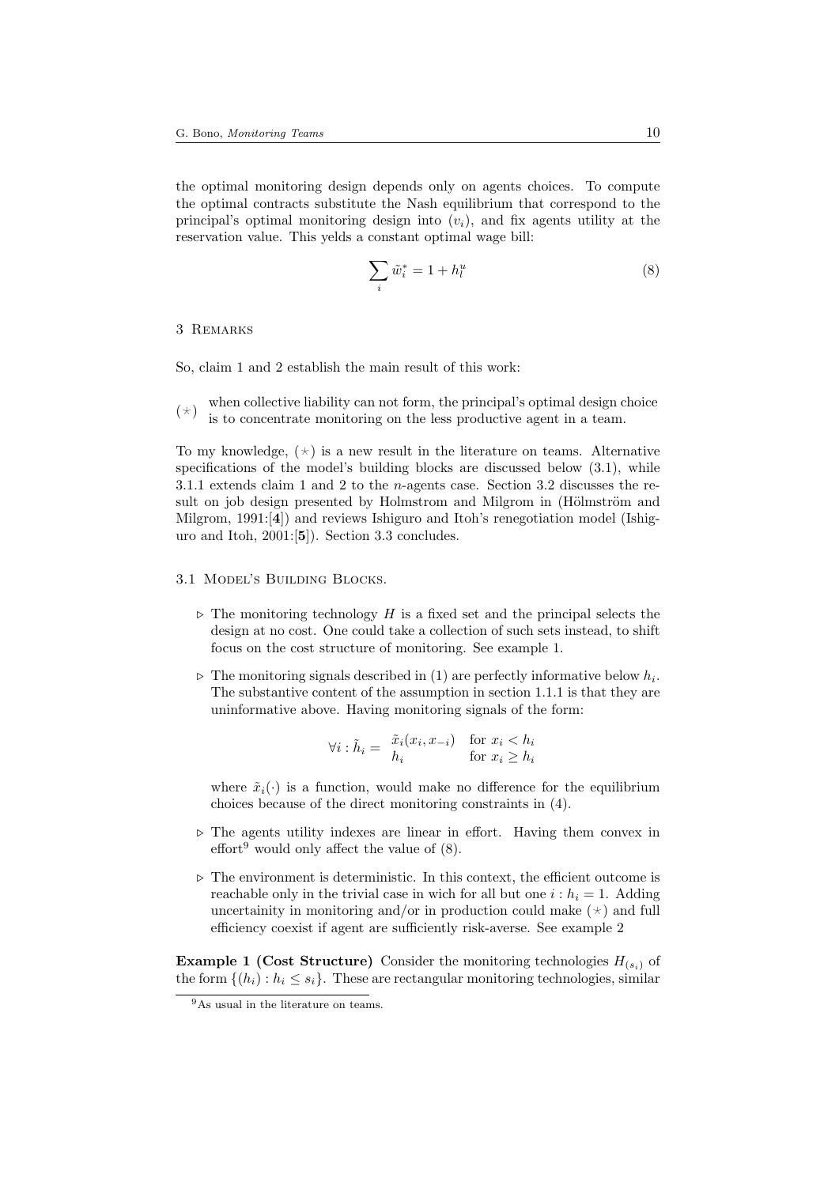the optimal monitoring design depends only on agents choices. To compute the optimal contracts substitute the Nash equilibrium that correspond to the principal's optimal monitoring design into  $(v_i)$ , and fix agents utility at the reservation value. This yelds a constant optimal wage bill:

$$
\sum_{i} \tilde{w}_i^* = 1 + h_l^u \tag{8}
$$

### 3 Remarks

So, claim 1 and 2 establish the main result of this work:

 $(\star)$ when collective liability can not form, the principal's optimal design choice is to concentrate monitoring on the less productive agent in a team.

To my knowledge,  $(\star)$  is a new result in the literature on teams. Alternative specifications of the model's building blocks are discussed below  $(3.1)$ , while 3.1.1 extends claim 1 and 2 to the n-agents case. Section 3.2 discusses the result on job design presented by Holmstrom and Milgrom in (Hölmström and Milgrom, 1991:[4]) and reviews Ishiguro and Itoh's renegotiation model (Ishiguro and Itoh, 2001:[5]). Section 3.3 concludes.

### 3.1 Model's Building Blocks.

- $\triangleright$  The monitoring technology H is a fixed set and the principal selects the design at no cost. One could take a collection of such sets instead, to shift focus on the cost structure of monitoring. See example 1.
- $\triangleright$  The monitoring signals described in (1) are perfectly informative below  $h_i$ . The substantive content of the assumption in section 1.1.1 is that they are uninformative above. Having monitoring signals of the form:

$$
\forall i : \tilde{h}_i = \begin{array}{cc} \tilde{x}_i(x_i, x_{-i}) & \text{for } x_i < h_i \\ h_i & \text{for } x_i \ge h_i \end{array}
$$

where  $\tilde{x}_i(\cdot)$  is a function, would make no difference for the equilibrium choices because of the direct monitoring constraints in (4).

- $\triangleright$  The agents utility indexes are linear in effort. Having them convex in  $\text{effort}^9$  would only affect the value of  $(8)$ .
- $\triangleright$  The environment is deterministic. In this context, the efficient outcome is reachable only in the trivial case in wich for all but one  $i : h_i = 1$ . Adding uncertainity in monitoring and/or in production could make  $(\star)$  and full efficiency coexist if agent are sufficiently risk-averse. See example 2

**Example 1 (Cost Structure)** Consider the monitoring technologies  $H_{(s_i)}$  of the form  $\{(h_i): h_i \leq s_i\}$ . These are rectangular monitoring technologies, similar

<sup>9</sup>As usual in the literature on teams.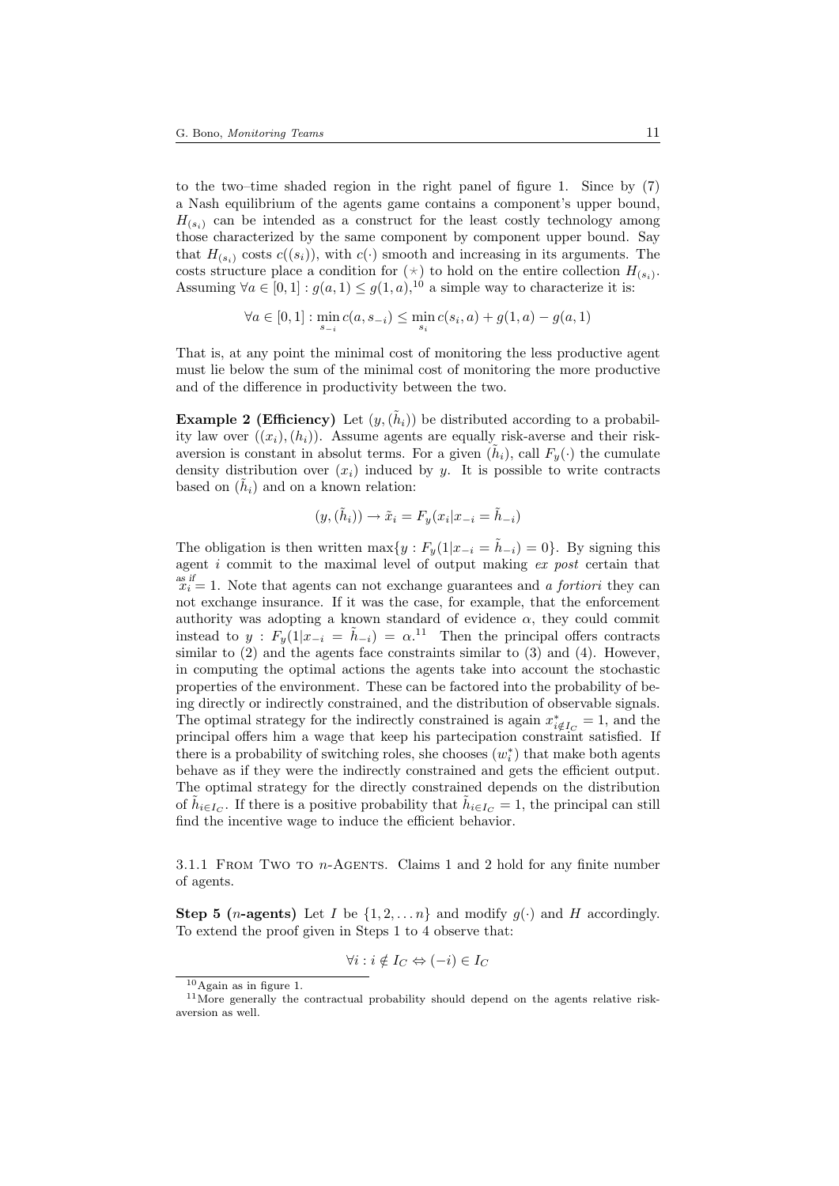to the two–time shaded region in the right panel of figure 1. Since by (7) a Nash equilibrium of the agents game contains a component's upper bound,  $H_{(s_i)}$  can be intended as a construct for the least costly technology among those characterized by the same component by component upper bound. Say that  $H_{(s_i)}$  costs  $c((s_i))$ , with  $c(\cdot)$  smooth and increasing in its arguments. The costs structure place a condition for  $(\star)$  to hold on the entire collection  $H_{(s_i)}$ . Assuming  $\forall a \in [0,1]: g(a,1) \leq g(1,a),^{10}$  a simple way to characterize it is:

$$
\forall a \in [0,1]: \min_{s_{-i}} c(a, s_{-i}) \le \min_{s_i} c(s_i, a) + g(1, a) - g(a, 1)
$$

That is, at any point the minimal cost of monitoring the less productive agent must lie below the sum of the minimal cost of monitoring the more productive and of the difference in productivity between the two.

**Example 2 (Efficiency)** Let  $(y, (\tilde{h}_i))$  be distributed according to a probability law over  $((x_i),(h_i))$ . Assume agents are equally risk-averse and their riskaversion is constant in absolut terms. For a given  $(\tilde{h}_i)$ , call  $F_y(\cdot)$  the cumulate density distribution over  $(x_i)$  induced by y. It is possible to write contracts based on  $(\tilde{h}_i)$  and on a known relation:

$$
(y,(\tilde{h}_i)) \to \tilde{x}_i = F_y(x_i | x_{-i} = \tilde{h}_{-i})
$$

The obligation is then written max $\{y : F_y(1|x_{-i} = \tilde{h}_{-i}) = 0\}$ . By signing this agent i commit to the maximal level of output making ex post certain that  $x_i^{as if} = 1$ . Note that agents can not exchange guarantees and a *fortiori* they can not exchange insurance. If it was the case, for example, that the enforcement authority was adopting a known standard of evidence  $\alpha$ , they could commit instead to  $y : F_y(1|x_{-i} = \tilde{h}_{-i}) = \alpha^{11}$  Then the principal offers contracts similar to  $(2)$  and the agents face constraints similar to  $(3)$  and  $(4)$ . However, in computing the optimal actions the agents take into account the stochastic properties of the environment. These can be factored into the probability of being directly or indirectly constrained, and the distribution of observable signals. The optimal strategy for the indirectly constrained is again  $x^*_{i \notin I_C} = 1$ , and the principal offers him a wage that keep his partecipation constraint satisfied. If there is a probability of switching roles, she chooses  $(w<sub>i</sub><sup>*</sup>)$  that make both agents behave as if they were the indirectly constrained and gets the efficient output. The optimal strategy for the directly constrained depends on the distribution of  $\tilde{h}_{i\in I_C}$ . If there is a positive probability that  $\tilde{h}_{i\in I_C} = 1$ , the principal can still find the incentive wage to induce the efficient behavior.

3.1.1 FROM TWO TO  $n$ -AGENTS. Claims 1 and 2 hold for any finite number of agents.

**Step 5 (***n***-agents)** Let I be  $\{1, 2, \ldots n\}$  and modify  $g(\cdot)$  and H accordingly. To extend the proof given in Steps 1 to 4 observe that:

$$
\forall i : i \notin I_C \Leftrightarrow (-i) \in I_C
$$

 $10$ Again as in figure 1.

 $11$ More generally the contractual probability should depend on the agents relative riskaversion as well.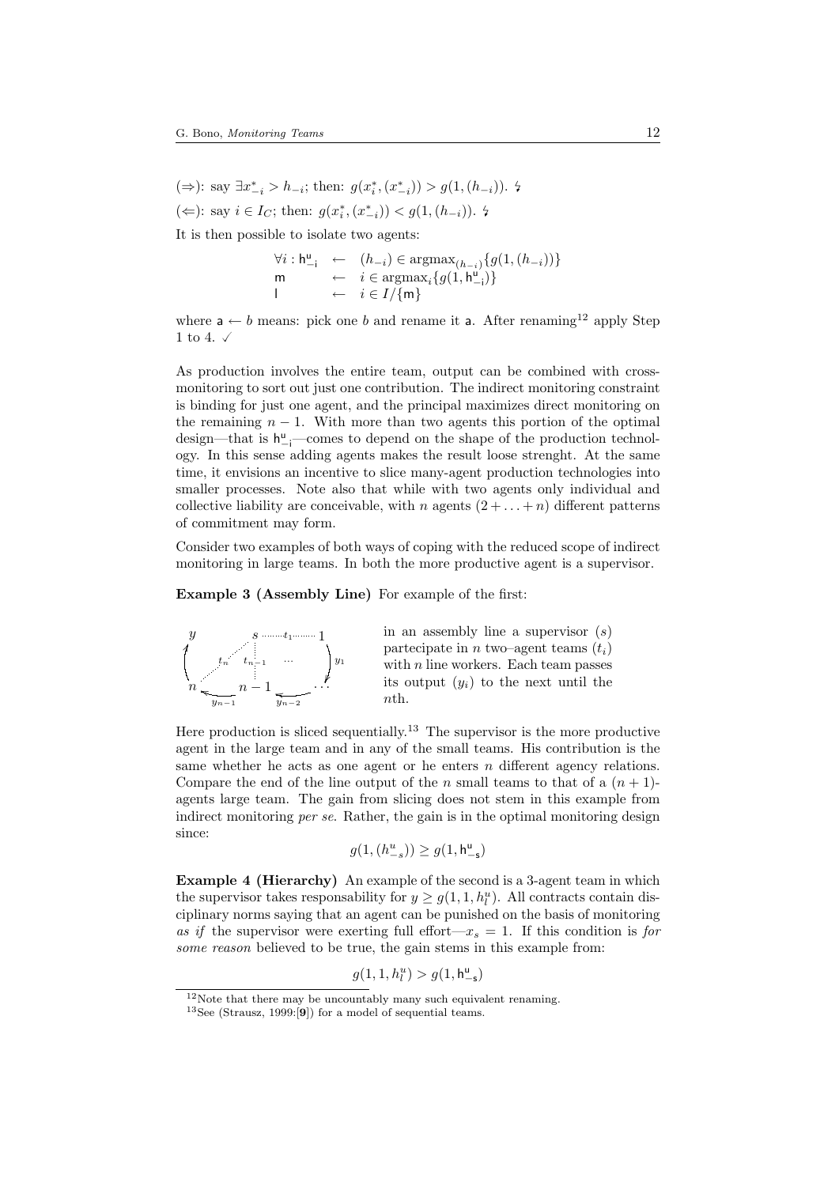(⇒): say  $\exists x^*_{-i} > h_{-i}$ ; then:  $g(x^*_i, (x^*_{-i})) > g(1, (h_{-i}))$ . 4 (←): say  $i \in I_C$ ; then:  $g(x_i^*, (x_{-i}^*)) < g(1, (h_{-i}))$ . 4

It is then possible to isolate two agents:

$$
\forall i: \mathbf{h}_{-i}^{\mathsf{u}} \leftarrow (h_{-i}) \in \operatorname{argmax}_{(h_{-i})} \{ g(1, (h_{-i})) \}
$$
\n
$$
\begin{array}{rcl} \mathsf{m} & \leftarrow & i \in \operatorname{argmax}_{i} \{ g(1, \mathbf{h}_{-i}^{\mathsf{u}}) \} \\ | & \leftarrow & i \in I / \{ \mathsf{m} \} \end{array}
$$

where  $a \leftarrow b$  means: pick one b and rename it a. After renaming<sup>12</sup> apply Step 1 to 4.  $\checkmark$ 

As production involves the entire team, output can be combined with crossmonitoring to sort out just one contribution. The indirect monitoring constraint is binding for just one agent, and the principal maximizes direct monitoring on the remaining  $n - 1$ . With more than two agents this portion of the optimal design—that is  $h^{\text{u}}_{-i}$ —comes to depend on the shape of the production technology. In this sense adding agents makes the result loose strenght. At the same time, it envisions an incentive to slice many-agent production technologies into smaller processes. Note also that while with two agents only individual and collective liability are conceivable, with n agents  $(2 + ... + n)$  different patterns of commitment may form.

Consider two examples of both ways of coping with the reduced scope of indirect monitoring in large teams. In both the more productive agent is a supervisor.

Example 3 (Assembly Line) For example of the first:



Here production is sliced sequentially.<sup>13</sup> The supervisor is the more productive agent in the large team and in any of the small teams. His contribution is the same whether he acts as one agent or he enters  $n$  different agency relations. Compare the end of the line output of the n small teams to that of a  $(n + 1)$ agents large team. The gain from slicing does not stem in this example from indirect monitoring *per se*. Rather, the gain is in the optimal monitoring design since:

 $g(1, (h_{-s}^u)) \ge g(1, h_{-s}^u)$ 

Example 4 (Hierarchy) An example of the second is a 3-agent team in which the supervisor takes responsability for  $y \ge g(1, 1, h_l^u)$ . All contracts contain disciplinary norms saying that an agent can be punished on the basis of monitoring as if the supervisor were exerting full effort— $x_s = 1$ . If this condition is for some reason believed to be true, the gain stems in this example from:

 $g(1, 1, h_l^u) > g(1, h_{-s}^u)$ 

 $12$ Note that there may be uncountably many such equivalent renaming.

 $13$ See (Strausz, 1999:<sup>[9]</sup>) for a model of sequential teams.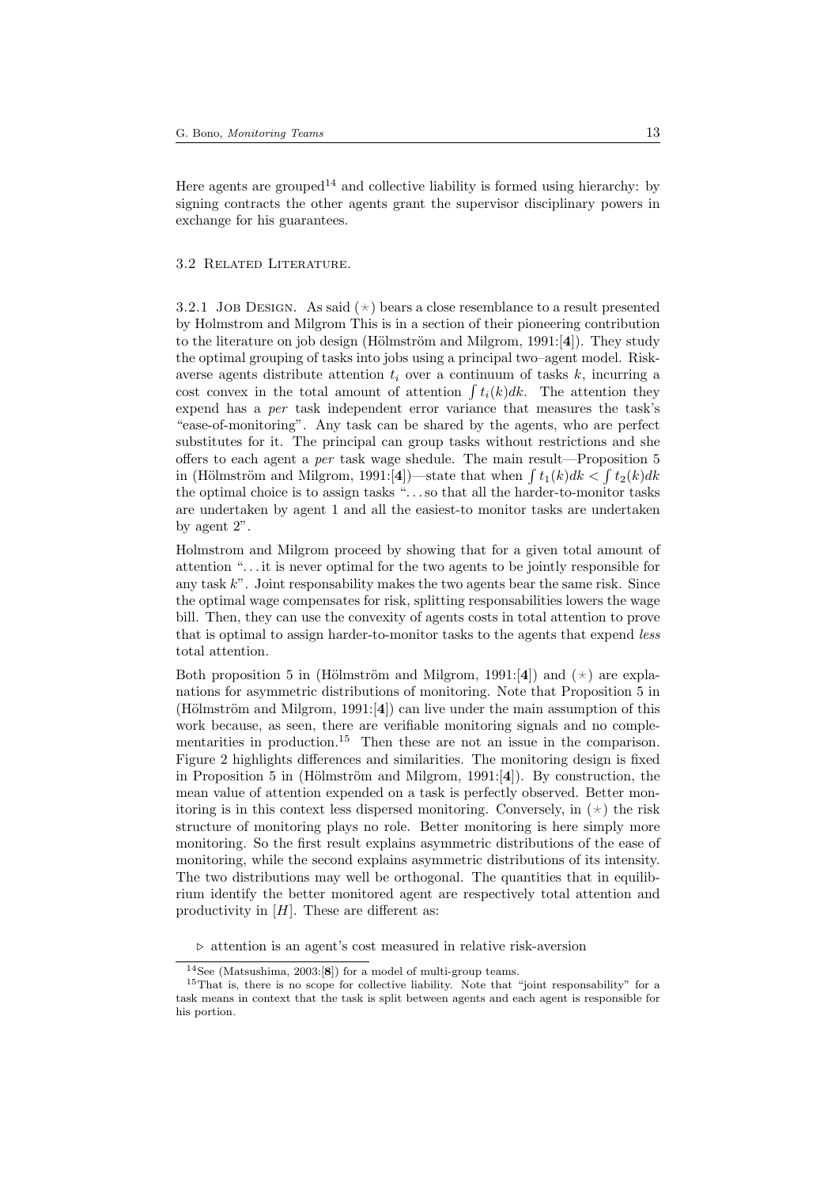Here agents are grouped<sup>14</sup> and collective liability is formed using hierarchy: by signing contracts the other agents grant the supervisor disciplinary powers in exchange for his guarantees.

#### 3.2 Related Literature.

3.2.1 JOB DESIGN. As said  $(\star)$  bears a close resemblance to a result presented by Holmstrom and Milgrom This is in a section of their pioneering contribution to the literature on job design (Hölmström and Milgrom,  $1991:[4]$ ). They study the optimal grouping of tasks into jobs using a principal two–agent model. Riskaverse agents distribute attention  $t_i$  over a continuum of tasks k, incurring a cost convex in the total amount of attention  $\int t_i(k)dk$ . The attention they expend has a per task independent error variance that measures the task's "ease-of-monitoring". Any task can be shared by the agents, who are perfect substitutes for it. The principal can group tasks without restrictions and she offers to each agent a per task wage shedule. The main result—Proposition 5 in (Hölmström and Milgrom, 1991:[4])—state that when  $\int t_1(k)dk < \int t_2(k)dk$ the optimal choice is to assign tasks ". . . so that all the harder-to-monitor tasks are undertaken by agent 1 and all the easiest-to monitor tasks are undertaken by agent 2".

Holmstrom and Milgrom proceed by showing that for a given total amount of attention ". . . it is never optimal for the two agents to be jointly responsible for any task  $k$ ". Joint responsability makes the two agents bear the same risk. Since the optimal wage compensates for risk, splitting responsabilities lowers the wage bill. Then, they can use the convexity of agents costs in total attention to prove that is optimal to assign harder-to-monitor tasks to the agents that expend less total attention.

Both proposition 5 in (Hölmström and Milgrom, 1991:[4]) and  $(\star)$  are explanations for asymmetric distributions of monitoring. Note that Proposition 5 in (Hölmström and Milgrom, 1991: $[4]$ ) can live under the main assumption of this work because, as seen, there are verifiable monitoring signals and no complementarities in production.<sup>15</sup> Then these are not an issue in the comparison. Figure 2 highlights differences and similarities. The monitoring design is fixed in Proposition 5 in (Hölmström and Milgrom, 1991:[4]). By construction, the mean value of attention expended on a task is perfectly observed. Better monitoring is in this context less dispersed monitoring. Conversely, in  $(\star)$  the risk structure of monitoring plays no role. Better monitoring is here simply more monitoring. So the first result explains asymmetric distributions of the ease of monitoring, while the second explains asymmetric distributions of its intensity. The two distributions may well be orthogonal. The quantities that in equilibrium identify the better monitored agent are respectively total attention and productivity in  $[H]$ . These are different as:

 $\triangleright$  attention is an agent's cost measured in relative risk-aversion

 $14$ See (Matsushima, 2003:[8]) for a model of multi-group teams.

<sup>&</sup>lt;sup>15</sup>That is, there is no scope for collective liability. Note that "joint responsability" for a task means in context that the task is split between agents and each agent is responsible for his portion.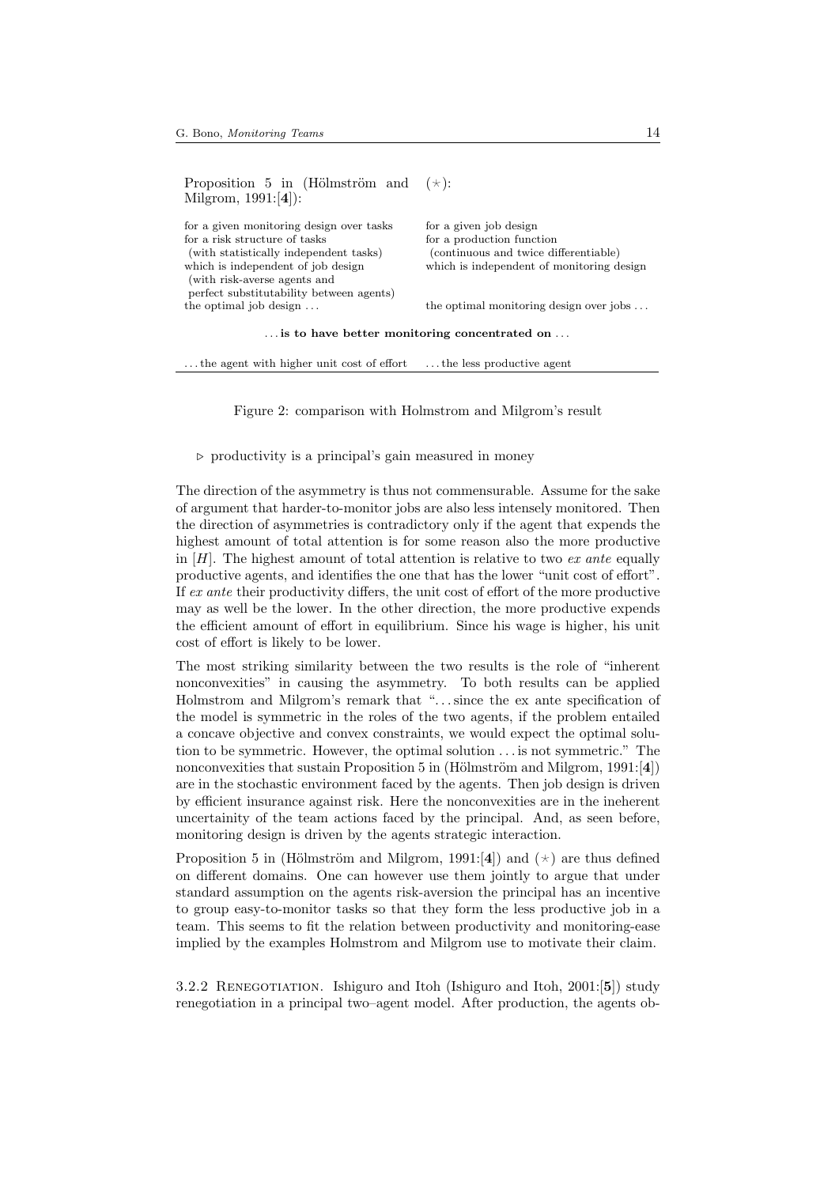Proposition 5 in (Hölmström and Milgrom, 1991:[4]):  $(\star)$ 

| for a given monitoring design over tasks | for a given job design                    |
|------------------------------------------|-------------------------------------------|
| for a risk structure of tasks            | for a production function                 |
| (with statistically independent tasks)   | (continuous and twice differentiable)     |
| which is independent of job design       | which is independent of monitoring design |
| (with risk-averse agents and             |                                           |
| perfect substitutability between agents) |                                           |
| the optimal job design $\dots$           | the optimal monitoring design over jobs   |
|                                          |                                           |

. . . is to have better monitoring concentrated on . . .

... the agent with higher unit cost of effort ... the less productive agent

Figure 2: comparison with Holmstrom and Milgrom's result

#### $\triangleright$  productivity is a principal's gain measured in money

The direction of the asymmetry is thus not commensurable. Assume for the sake of argument that harder-to-monitor jobs are also less intensely monitored. Then the direction of asymmetries is contradictory only if the agent that expends the highest amount of total attention is for some reason also the more productive in  $[H]$ . The highest amount of total attention is relative to two ex ante equally productive agents, and identifies the one that has the lower "unit cost of effort". If ex ante their productivity differs, the unit cost of effort of the more productive may as well be the lower. In the other direction, the more productive expends the efficient amount of effort in equilibrium. Since his wage is higher, his unit cost of effort is likely to be lower.

The most striking similarity between the two results is the role of "inherent nonconvexities" in causing the asymmetry. To both results can be applied Holmstrom and Milgrom's remark that "...since the ex ante specification of the model is symmetric in the roles of the two agents, if the problem entailed a concave objective and convex constraints, we would expect the optimal solution to be symmetric. However, the optimal solution . . . is not symmetric." The nonconvexities that sustain Proposition 5 in (Hölmström and Milgrom, 1991:[4]) are in the stochastic environment faced by the agents. Then job design is driven by efficient insurance against risk. Here the nonconvexities are in the ineherent uncertainity of the team actions faced by the principal. And, as seen before, monitoring design is driven by the agents strategic interaction.

Proposition 5 in (Hölmström and Milgrom, 1991:[4]) and  $(\star)$  are thus defined on different domains. One can however use them jointly to argue that under standard assumption on the agents risk-aversion the principal has an incentive to group easy-to-monitor tasks so that they form the less productive job in a team. This seems to fit the relation between productivity and monitoring-ease implied by the examples Holmstrom and Milgrom use to motivate their claim.

3.2.2 RENEGOTIATION. Ishiguro and Itoh (Ishiguro and Itoh, 2001:[5]) study renegotiation in a principal two–agent model. After production, the agents ob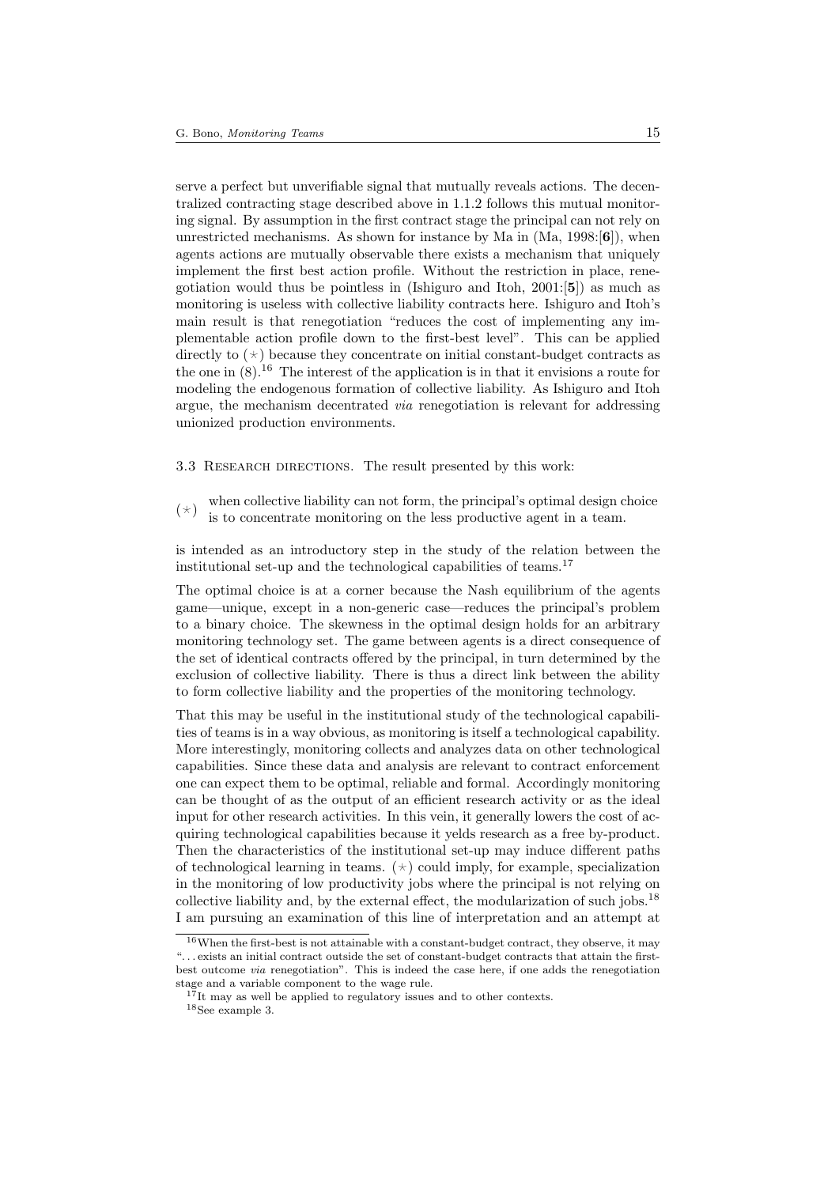serve a perfect but unverifiable signal that mutually reveals actions. The decentralized contracting stage described above in 1.1.2 follows this mutual monitoring signal. By assumption in the first contract stage the principal can not rely on unrestricted mechanisms. As shown for instance by Ma in  $(Ma, 1998:66)$ , when agents actions are mutually observable there exists a mechanism that uniquely implement the first best action profile. Without the restriction in place, renegotiation would thus be pointless in (Ishiguro and Itoh, 2001:[5]) as much as monitoring is useless with collective liability contracts here. Ishiguro and Itoh's main result is that renegotiation "reduces the cost of implementing any implementable action profile down to the first-best level". This can be applied directly to  $(\star)$  because they concentrate on initial constant-budget contracts as the one in  $(8)$ .<sup>16</sup> The interest of the application is in that it envisions a route for modeling the endogenous formation of collective liability. As Ishiguro and Itoh argue, the mechanism decentrated via renegotiation is relevant for addressing unionized production environments.

### 3.3 RESEARCH DIRECTIONS. The result presented by this work:

 $(\star)$ when collective liability can not form, the principal's optimal design choice is to concentrate monitoring on the less productive agent in a team.

is intended as an introductory step in the study of the relation between the institutional set-up and the technological capabilities of teams.<sup>17</sup>

The optimal choice is at a corner because the Nash equilibrium of the agents game—unique, except in a non-generic case—reduces the principal's problem to a binary choice. The skewness in the optimal design holds for an arbitrary monitoring technology set. The game between agents is a direct consequence of the set of identical contracts offered by the principal, in turn determined by the exclusion of collective liability. There is thus a direct link between the ability to form collective liability and the properties of the monitoring technology.

That this may be useful in the institutional study of the technological capabilities of teams is in a way obvious, as monitoring is itself a technological capability. More interestingly, monitoring collects and analyzes data on other technological capabilities. Since these data and analysis are relevant to contract enforcement one can expect them to be optimal, reliable and formal. Accordingly monitoring can be thought of as the output of an efficient research activity or as the ideal input for other research activities. In this vein, it generally lowers the cost of acquiring technological capabilities because it yelds research as a free by-product. Then the characteristics of the institutional set-up may induce different paths of technological learning in teams.  $(\star)$  could imply, for example, specialization in the monitoring of low productivity jobs where the principal is not relying on collective liability and, by the external effect, the modularization of such jobs.<sup>18</sup> I am pursuing an examination of this line of interpretation and an attempt at

<sup>16</sup>When the first-best is not attainable with a constant-budget contract, they observe, it may ". . . exists an initial contract outside the set of constant-budget contracts that attain the firstbest outcome via renegotiation". This is indeed the case here, if one adds the renegotiation stage and a variable component to the wage rule.

 $17$ It may as well be applied to regulatory issues and to other contexts.

 $^{18}\mathrm{See}$  example 3.